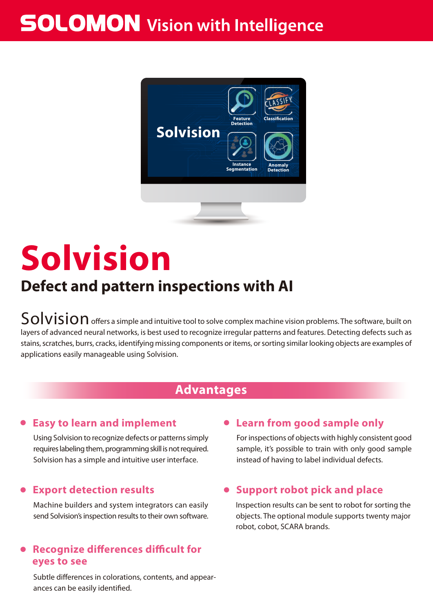## **SOLOMON** Vision with Intelligence



# **Defect and pattern inspections with AI Solvision**

 $\mathsf{Solvision}$  offers a simple and intuitive tool to solve complex machine vision problems. The software, built on layers of advanced neural networks, is best used to recognize irregular patterns and features. Detecting defects such as stains, scratches, burrs, cracks, identifying missing components or items, or sorting similar looking objects are examples of applications easily manageable using Solvision.

#### **Advantages**

#### **● Easy to learn and implement**

Using Solvision to recognize defects or patterns simply requires labeling them, programming skill is not required. Solvision has a simple and intuitive user interface.

#### **Export detection results**

Machine builders and system integrators can easily send Solvision's inspection results to their own software.

#### **Recognize differences difficult for eyes to see**

Subtle differences in colorations, contents, and appearances can be easily identified.

#### **● Learn from good sample only**

For inspections of objects with highly consistent good sample, it's possible to train with only good sample instead of having to label individual defects.

#### **● Support robot pick and place**

Inspection results can be sent to robot for sorting the objects. The optional module supports twenty major robot, cobot, SCARA brands.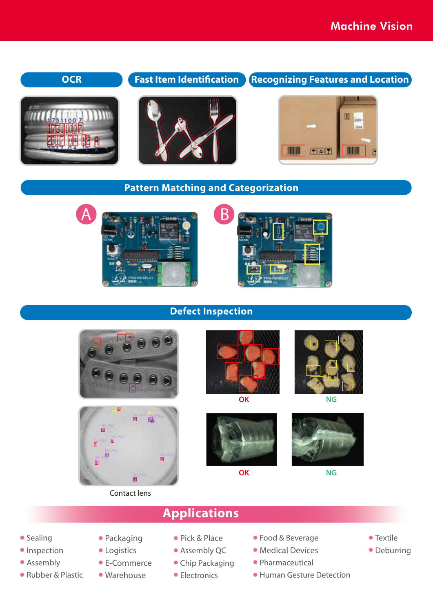#### **OCR Fast Item Identification Recognizing Features and Location**







## **IIIII**  $F = T$





**Defect Inspection**

**Pattern Matching and Categorization**





#### Contact lens



**OK**

**OK**



**NG**



**NG**

- Sealing
- Inspection
- Assembly
- Rubber & Plastic
- Packaging
- Logistics
- E-Commerce
- Warehouse
- Pick & Place

**Applications**

- Assembly QC
- Chip Packaging
- Electronics
- Food & Beverage
- Medical Devices
- Pharmaceutical
- Human Gesture Detection
- Textile
- Deburring